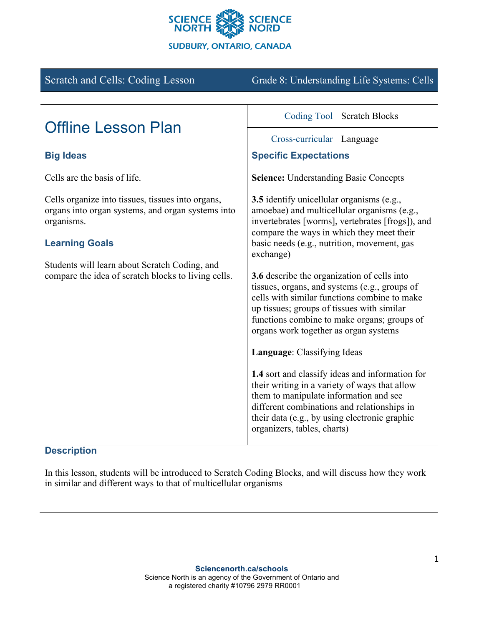

| <b>Scratch and Cells: Coding Lesson</b>                                                                                                       | Grade 8: Understanding Life Systems: Cells                                                                                                                                                                                                                                         |                       |
|-----------------------------------------------------------------------------------------------------------------------------------------------|------------------------------------------------------------------------------------------------------------------------------------------------------------------------------------------------------------------------------------------------------------------------------------|-----------------------|
|                                                                                                                                               |                                                                                                                                                                                                                                                                                    |                       |
| <b>Offline Lesson Plan</b>                                                                                                                    | <b>Coding Tool</b>                                                                                                                                                                                                                                                                 | <b>Scratch Blocks</b> |
|                                                                                                                                               | Cross-curricular                                                                                                                                                                                                                                                                   | Language              |
| <b>Big Ideas</b>                                                                                                                              | <b>Specific Expectations</b>                                                                                                                                                                                                                                                       |                       |
| Cells are the basis of life.                                                                                                                  | <b>Science:</b> Understanding Basic Concepts                                                                                                                                                                                                                                       |                       |
| Cells organize into tissues, tissues into organs,<br>organs into organ systems, and organ systems into<br>organisms.<br><b>Learning Goals</b> | <b>3.5</b> identify unicellular organisms (e.g.,<br>amoebae) and multicellular organisms (e.g.,<br>invertebrates [worms], vertebrates [frogs]), and<br>compare the ways in which they meet their<br>basic needs (e.g., nutrition, movement, gas<br>exchange)                       |                       |
|                                                                                                                                               |                                                                                                                                                                                                                                                                                    |                       |
| Students will learn about Scratch Coding, and<br>compare the idea of scratch blocks to living cells.                                          | 3.6 describe the organization of cells into<br>tissues, organs, and systems (e.g., groups of<br>cells with similar functions combine to make<br>up tissues; groups of tissues with similar<br>functions combine to make organs; groups of<br>organs work together as organ systems |                       |
|                                                                                                                                               | Language: Classifying Ideas                                                                                                                                                                                                                                                        |                       |
|                                                                                                                                               | 1.4 sort and classify ideas and information for<br>their writing in a variety of ways that allow<br>them to manipulate information and see<br>different combinations and relationships in<br>their data (e.g., by using electronic graphic<br>organizers, tables, charts)          |                       |

# **Description**

In this lesson, students will be introduced to Scratch Coding Blocks, and will discuss how they work in similar and different ways to that of multicellular organisms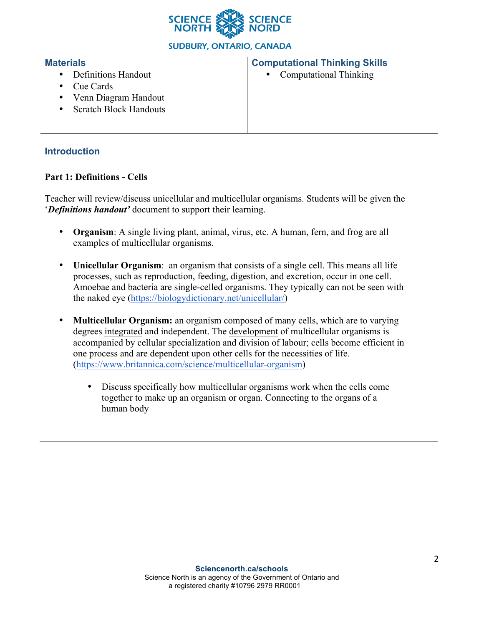

**SUDBURY, ONTARIO, CANADA** 

#### **Materials**

- Definitions Handout
- Cue Cards

## **Computational Thinking Skills**

• Computational Thinking

- 
- Venn Diagram Handout
- Scratch Block Handouts

## **Introduction**

## **Part 1: Definitions - Cells**

Teacher will review/discuss unicellular and multicellular organisms. Students will be given the '*Definitions handout'* document to support their learning.

- **Organism**: A single living plant, animal, virus, etc. A human, fern, and frog are all examples of multicellular organisms.
- **Unicellular Organism**: an organism that consists of a single cell. This means all life processes, such as reproduction, feeding, digestion, and excretion, occur in one cell. Amoebae and bacteria are single-celled organisms. They typically can not be seen with the naked eye (https://biologydictionary.net/unicellular/)
- **Multicellular Organism:** an organism composed of many cells, which are to varying degrees integrated and independent. The development of multicellular organisms is accompanied by cellular specialization and division of labour; cells become efficient in one process and are dependent upon other cells for the necessities of life. (https://www.britannica.com/science/multicellular-organism)
	- Discuss specifically how multicellular organisms work when the cells come together to make up an organism or organ. Connecting to the organs of a human body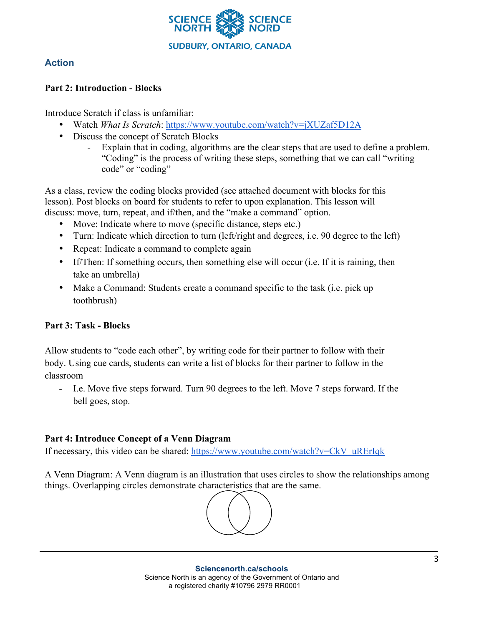

#### **Action**

#### **Part 2: Introduction - Blocks**

Introduce Scratch if class is unfamiliar:

- Watch *What Is Scratch*: https://www.youtube.com/watch?v=jXUZaf5D12A
- Discuss the concept of Scratch Blocks
	- Explain that in coding, algorithms are the clear steps that are used to define a problem. "Coding" is the process of writing these steps, something that we can call "writing code" or "coding"

As a class, review the coding blocks provided (see attached document with blocks for this lesson). Post blocks on board for students to refer to upon explanation. This lesson will discuss: move, turn, repeat, and if/then, and the "make a command" option.

- Move: Indicate where to move (specific distance, steps etc.)
- Turn: Indicate which direction to turn (left/right and degrees, i.e. 90 degree to the left)
- Repeat: Indicate a command to complete again
- If/Then: If something occurs, then something else will occur (i.e. If it is raining, then take an umbrella)
- Make a Command: Students create a command specific to the task (i.e. pick up toothbrush)

## **Part 3: Task - Blocks**

Allow students to "code each other", by writing code for their partner to follow with their body. Using cue cards, students can write a list of blocks for their partner to follow in the classroom

- I.e. Move five steps forward. Turn 90 degrees to the left. Move 7 steps forward. If the bell goes, stop.

## **Part 4: Introduce Concept of a Venn Diagram**

If necessary, this video can be shared: https://www.youtube.com/watch?v=CkV\_uRErIqk

A Venn Diagram: A Venn diagram is an illustration that uses circles to show the relationships among things. Overlapping circles demonstrate characteristics that are the same.

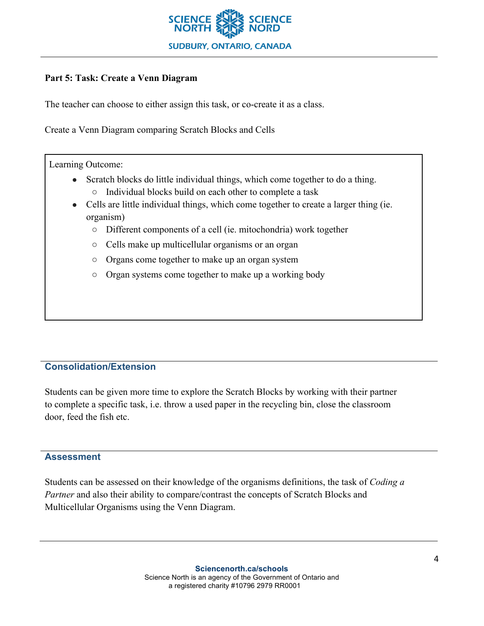

## **Part 5: Task: Create a Venn Diagram**

The teacher can choose to either assign this task, or co-create it as a class.

Create a Venn Diagram comparing Scratch Blocks and Cells

Learning Outcome:

- Scratch blocks do little individual things, which come together to do a thing. ○ Individual blocks build on each other to complete a task
- Cells are little individual things, which come together to create a larger thing (ie. organism)
	- Different components of a cell (ie. mitochondria) work together
	- Cells make up multicellular organisms or an organ
	- Organs come together to make up an organ system
	- Organ systems come together to make up a working body

#### **Consolidation/Extension**

Students can be given more time to explore the Scratch Blocks by working with their partner to complete a specific task, i.e. throw a used paper in the recycling bin, close the classroom door, feed the fish etc.

#### **Assessment**

Students can be assessed on their knowledge of the organisms definitions, the task of *Coding a Partner* and also their ability to compare/contrast the concepts of Scratch Blocks and Multicellular Organisms using the Venn Diagram.